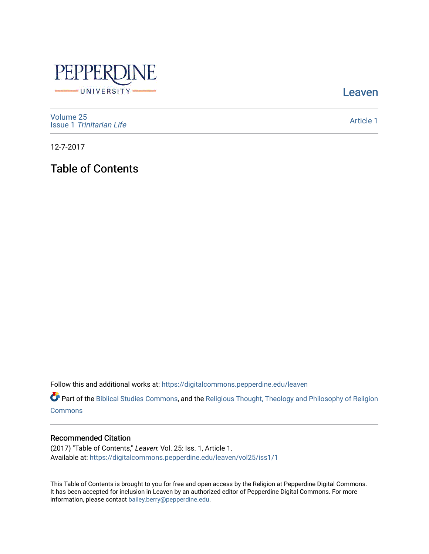

[Leaven](https://digitalcommons.pepperdine.edu/leaven) 

[Volume 25](https://digitalcommons.pepperdine.edu/leaven/vol25) Issue 1 [Trinitarian Life](https://digitalcommons.pepperdine.edu/leaven/vol25/iss1) 

[Article 1](https://digitalcommons.pepperdine.edu/leaven/vol25/iss1/1) 

12-7-2017

Table of Contents

Follow this and additional works at: [https://digitalcommons.pepperdine.edu/leaven](https://digitalcommons.pepperdine.edu/leaven?utm_source=digitalcommons.pepperdine.edu%2Fleaven%2Fvol25%2Fiss1%2F1&utm_medium=PDF&utm_campaign=PDFCoverPages)

Part of the [Biblical Studies Commons,](http://network.bepress.com/hgg/discipline/539?utm_source=digitalcommons.pepperdine.edu%2Fleaven%2Fvol25%2Fiss1%2F1&utm_medium=PDF&utm_campaign=PDFCoverPages) and the [Religious Thought, Theology and Philosophy of Religion](http://network.bepress.com/hgg/discipline/544?utm_source=digitalcommons.pepperdine.edu%2Fleaven%2Fvol25%2Fiss1%2F1&utm_medium=PDF&utm_campaign=PDFCoverPages)  **[Commons](http://network.bepress.com/hgg/discipline/544?utm_source=digitalcommons.pepperdine.edu%2Fleaven%2Fvol25%2Fiss1%2F1&utm_medium=PDF&utm_campaign=PDFCoverPages)** 

## Recommended Citation

(2017) "Table of Contents," Leaven: Vol. 25: Iss. 1, Article 1. Available at: [https://digitalcommons.pepperdine.edu/leaven/vol25/iss1/1](https://digitalcommons.pepperdine.edu/leaven/vol25/iss1/1?utm_source=digitalcommons.pepperdine.edu%2Fleaven%2Fvol25%2Fiss1%2F1&utm_medium=PDF&utm_campaign=PDFCoverPages)

This Table of Contents is brought to you for free and open access by the Religion at Pepperdine Digital Commons. It has been accepted for inclusion in Leaven by an authorized editor of Pepperdine Digital Commons. For more information, please contact [bailey.berry@pepperdine.edu.](mailto:bailey.berry@pepperdine.edu)